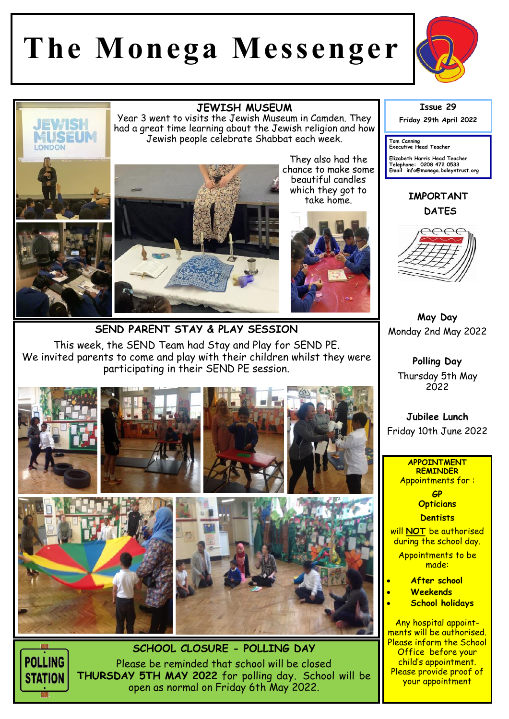## **The Monega Messenger**



## **JEWISH MUSEUM**

Year 3 went to visits the Jewish Museum in Camden. They had a great time learning about the Jewish religion and how Jewish people celebrate Shabbat each week.



They also had the chance to make some beautiful candles which they got to take home.



**SEND PARENT STAY & PLAY SESSION**  This week, the SEND Team had Stay and Play for SEND PE. We invited parents to come and play with their children whilst they were participating in their SEND PE session.





**JEWISH** MUSEUM

**LONDON** 

Please be reminded that school will be closed **THURSDAY 5TH MAY 2022** for polling day. School will be open as normal on Friday 6th May 2022.

**Issue 29 Friday 29th April 2022** 

**Tom Canning Executive Head Teacher**

**Elizabeth Harris Head Teacher Telephone: 0208 472 0533 Email info@monega.boleyntrust.org** 

**IMPORTANT DATES**



**May Day**  Monday 2nd May 2022

**Polling Day**  Thursday 5th May 2022

**Jubilee Lunch**  Friday 10th June 2022

## **APPOINTMENT REMINDER** Appointments for :

**GP Opticians** 

**Dentists** 

will **NOT** be authorised during the school day.

Appointments to be made:

- **After school**
- **Weekends**
- **School holidays**

Any hospital appointments will be authorised. Please inform the School Office before your child's appointment. Please provide proof of your appointment